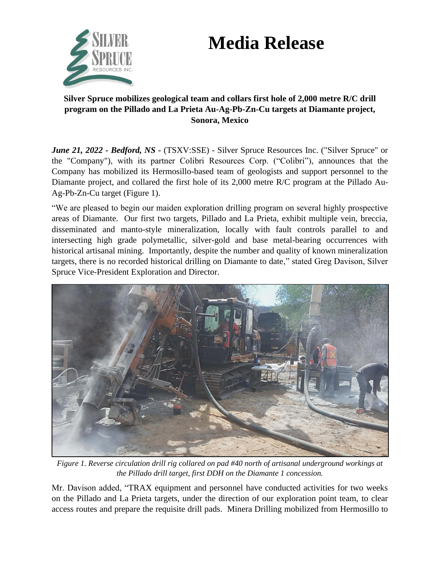# **Media Release**



**Silver Spruce mobilizes geological team and collars first hole of 2,000 metre R/C drill program on the Pillado and La Prieta Au-Ag-Pb-Zn-Cu targets at Diamante project, Sonora, Mexico**

*June 21, 2022 - Bedford, NS -* (TSXV:SSE) - Silver Spruce Resources Inc. ("Silver Spruce" or the "Company"), with its partner Colibri Resources Corp. ("Colibri"), announces that the Company has mobilized its Hermosillo-based team of geologists and support personnel to the Diamante project, and collared the first hole of its 2,000 metre R/C program at the Pillado Au-Ag-Pb-Zn-Cu target (Figure 1).

"We are pleased to begin our maiden exploration drilling program on several highly prospective areas of Diamante. Our first two targets, Pillado and La Prieta, exhibit multiple vein, breccia, disseminated and manto-style mineralization, locally with fault controls parallel to and intersecting high grade polymetallic, silver-gold and base metal-bearing occurrences with historical artisanal mining. Importantly, despite the number and quality of known mineralization targets, there is no recorded historical drilling on Diamante to date," stated Greg Davison, Silver Spruce Vice-President Exploration and Director.



*Figure 1. Reverse circulation drill rig collared on pad #40 north of artisanal underground workings at the Pillado drill target, first DDH on the Diamante 1 concession.*

Mr. Davison added, "TRAX equipment and personnel have conducted activities for two weeks on the Pillado and La Prieta targets, under the direction of our exploration point team, to clear access routes and prepare the requisite drill pads. Minera Drilling mobilized from Hermosillo to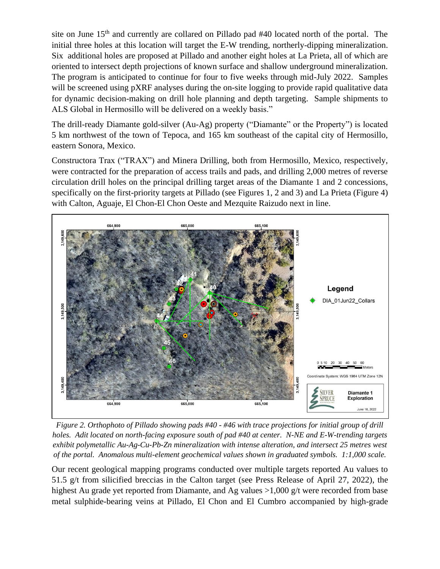site on June 15<sup>th</sup> and currently are collared on Pillado pad #40 located north of the portal. The initial three holes at this location will target the E-W trending, northerly-dipping mineralization. Six additional holes are proposed at Pillado and another eight holes at La Prieta, all of which are oriented to intersect depth projections of known surface and shallow underground mineralization. The program is anticipated to continue for four to five weeks through mid-July 2022. Samples will be screened using pXRF analyses during the on-site logging to provide rapid qualitative data for dynamic decision-making on drill hole planning and depth targeting. Sample shipments to ALS Global in Hermosillo will be delivered on a weekly basis."

The drill-ready Diamante gold-silver (Au-Ag) property ("Diamante" or the Property") is located 5 km northwest of the town of Tepoca, and 165 km southeast of the capital city of Hermosillo, eastern Sonora, Mexico.

Constructora Trax ("TRAX") and Minera Drilling, both from Hermosillo, Mexico, respectively, were contracted for the preparation of access trails and pads, and drilling 2,000 metres of reverse circulation drill holes on the principal drilling target areas of the Diamante 1 and 2 concessions, specifically on the first-priority targets at Pillado (see Figures 1, 2 and 3) and La Prieta (Figure 4) with Calton, Aguaje, El Chon-El Chon Oeste and Mezquite Raizudo next in line.



*Figure 2. Orthophoto of Pillado showing pads #40 - #46 with trace projections for initial group of drill holes. Adit located on north-facing exposure south of pad #40 at center. N-NE and E-W-trending targets exhibit polymetallic Au-Ag-Cu-Pb-Zn mineralization with intense alteration, and intersect 25 metres west of the portal. Anomalous multi-element geochemical values shown in graduated symbols. 1:1,000 scale.*

Our recent geological mapping programs conducted over multiple targets reported Au values to 51.5 g/t from silicified breccias in the Calton target (see Press Release of April 27, 2022), the highest Au grade yet reported from Diamante, and Ag values >1,000 g/t were recorded from base metal sulphide-bearing veins at Pillado, El Chon and El Cumbro accompanied by high-grade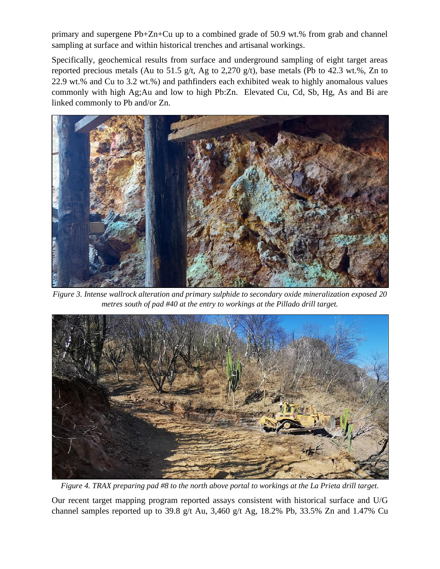primary and supergene Pb+Zn+Cu up to a combined grade of 50.9 wt.% from grab and channel sampling at surface and within historical trenches and artisanal workings.

Specifically, geochemical results from surface and underground sampling of eight target areas reported precious metals (Au to 51.5 g/t, Ag to 2,270 g/t), base metals (Pb to 42.3 wt.%, Zn to 22.9 wt.% and Cu to 3.2 wt.%) and pathfinders each exhibited weak to highly anomalous values commonly with high Ag;Au and low to high Pb:Zn. Elevated Cu, Cd, Sb, Hg, As and Bi are linked commonly to Pb and/or Zn.



*Figure 3. Intense wallrock alteration and primary sulphide to secondary oxide mineralization exposed 20 metres south of pad #40 at the entry to workings at the Pillado drill target.*



*Figure 4. TRAX preparing pad #8 to the north above portal to workings at the La Prieta drill target.*

Our recent target mapping program reported assays consistent with historical surface and U/G channel samples reported up to 39.8 g/t Au, 3,460 g/t Ag, 18.2% Pb, 33.5% Zn and 1.47% Cu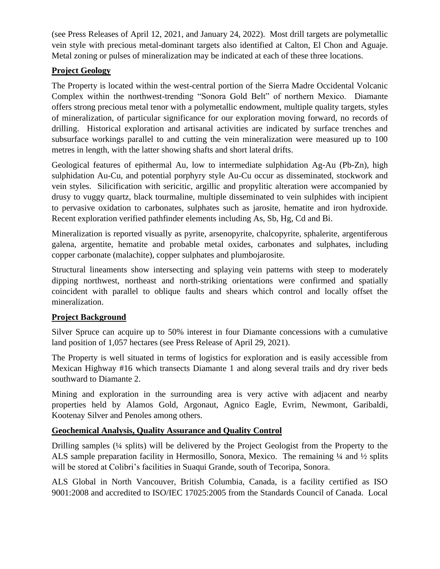(see Press Releases of April 12, 2021, and January 24, 2022). Most drill targets are polymetallic vein style with precious metal-dominant targets also identified at Calton, El Chon and Aguaje. Metal zoning or pulses of mineralization may be indicated at each of these three locations.

# **Project Geology**

The Property is located within the west-central portion of the Sierra Madre Occidental Volcanic Complex within the northwest-trending "Sonora Gold Belt" of northern Mexico. Diamante offers strong precious metal tenor with a polymetallic endowment, multiple quality targets, styles of mineralization, of particular significance for our exploration moving forward, no records of drilling. Historical exploration and artisanal activities are indicated by surface trenches and subsurface workings parallel to and cutting the vein mineralization were measured up to 100 metres in length, with the latter showing shafts and short lateral drifts.

Geological features of epithermal Au, low to intermediate sulphidation Ag-Au (Pb-Zn), high sulphidation Au-Cu, and potential porphyry style Au-Cu occur as disseminated, stockwork and vein styles. Silicification with sericitic, argillic and propylitic alteration were accompanied by drusy to vuggy quartz, black tourmaline, multiple disseminated to vein sulphides with incipient to pervasive oxidation to carbonates, sulphates such as jarosite, hematite and iron hydroxide. Recent exploration verified pathfinder elements including As, Sb, Hg, Cd and Bi.

Mineralization is reported visually as pyrite, arsenopyrite, chalcopyrite, sphalerite, argentiferous galena, argentite, hematite and probable metal oxides, carbonates and sulphates, including copper carbonate (malachite), copper sulphates and plumbojarosite.

Structural lineaments show intersecting and splaying vein patterns with steep to moderately dipping northwest, northeast and north-striking orientations were confirmed and spatially coincident with parallel to oblique faults and shears which control and locally offset the mineralization.

# **Project Background**

Silver Spruce can acquire up to 50% interest in four Diamante concessions with a cumulative land position of 1,057 hectares (see Press Release of April 29, 2021).

The Property is well situated in terms of logistics for exploration and is easily accessible from Mexican Highway #16 which transects Diamante 1 and along several trails and dry river beds southward to Diamante 2.

Mining and exploration in the surrounding area is very active with adjacent and nearby properties held by Alamos Gold, Argonaut, Agnico Eagle, Evrim, Newmont, Garibaldi, Kootenay Silver and Penoles among others.

# **Geochemical Analysis, Quality Assurance and Quality Control**

Drilling samples (¼ splits) will be delivered by the Project Geologist from the Property to the ALS sample preparation facility in Hermosillo, Sonora, Mexico. The remaining ¼ and ½ splits will be stored at Colibri's facilities in Suaqui Grande, south of Tecoripa, Sonora.

ALS Global in North Vancouver, British Columbia, Canada, is a facility certified as ISO 9001:2008 and accredited to ISO/IEC 17025:2005 from the Standards Council of Canada. Local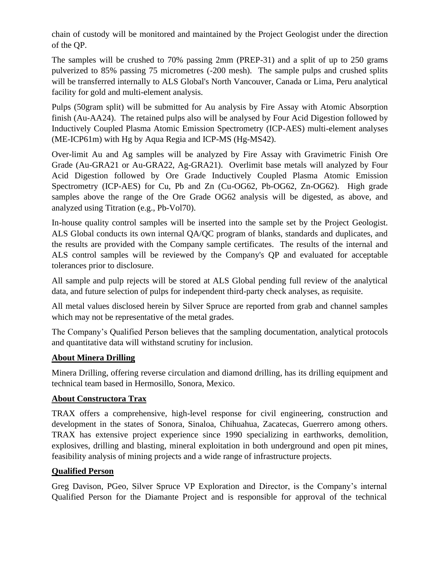chain of custody will be monitored and maintained by the Project Geologist under the direction of the QP.

The samples will be crushed to 70% passing 2mm (PREP-31) and a split of up to 250 grams pulverized to 85% passing 75 micrometres (-200 mesh). The sample pulps and crushed splits will be transferred internally to ALS Global's North Vancouver, Canada or Lima, Peru analytical facility for gold and multi-element analysis.

Pulps (50gram split) will be submitted for Au analysis by Fire Assay with Atomic Absorption finish (Au-AA24). The retained pulps also will be analysed by Four Acid Digestion followed by Inductively Coupled Plasma Atomic Emission Spectrometry (ICP-AES) multi-element analyses (ME-ICP61m) with Hg by Aqua Regia and ICP-MS (Hg-MS42).

Over-limit Au and Ag samples will be analyzed by Fire Assay with Gravimetric Finish Ore Grade (Au-GRA21 or Au-GRA22, Ag-GRA21). Overlimit base metals will analyzed by Four Acid Digestion followed by Ore Grade Inductively Coupled Plasma Atomic Emission Spectrometry (ICP-AES) for Cu, Pb and Zn (Cu-OG62, Pb-OG62, Zn-OG62). High grade samples above the range of the Ore Grade OG62 analysis will be digested, as above, and analyzed using Titration (e.g., Pb-Vol70).

In-house quality control samples will be inserted into the sample set by the Project Geologist. ALS Global conducts its own internal QA/QC program of blanks, standards and duplicates, and the results are provided with the Company sample certificates. The results of the internal and ALS control samples will be reviewed by the Company's QP and evaluated for acceptable tolerances prior to disclosure.

All sample and pulp rejects will be stored at ALS Global pending full review of the analytical data, and future selection of pulps for independent third-party check analyses, as requisite.

All metal values disclosed herein by Silver Spruce are reported from grab and channel samples which may not be representative of the metal grades.

The Company's Qualified Person believes that the sampling documentation, analytical protocols and quantitative data will withstand scrutiny for inclusion.

# **About Minera Drilling**

Minera Drilling, offering reverse circulation and diamond drilling, has its drilling equipment and technical team based in Hermosillo, Sonora, Mexico.

# **About Constructora Trax**

TRAX offers a comprehensive, high-level response for civil engineering, construction and development in the states of Sonora, Sinaloa, Chihuahua, Zacatecas, Guerrero among others. TRAX has extensive project experience since 1990 specializing in earthworks, demolition, explosives, drilling and blasting, mineral exploitation in both underground and open pit mines, feasibility analysis of mining projects and a wide range of infrastructure projects.

### **Qualified Person**

Greg Davison, PGeo, Silver Spruce VP Exploration and Director, is the Company's internal Qualified Person for the Diamante Project and is responsible for approval of the technical